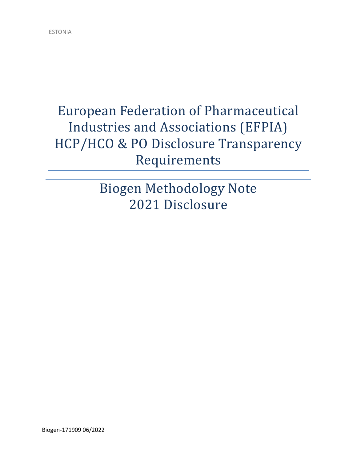# European Federation of Pharmaceutical Industries and Associations (EFPIA) HCP/HCO & PO Disclosure Transparency Requirements

Biogen Methodology Note 2021 Disclosure

Biogen-171909 06/2022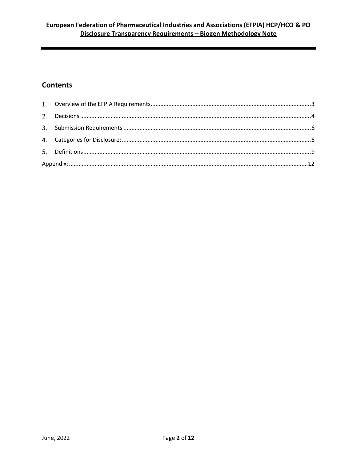## **Contents**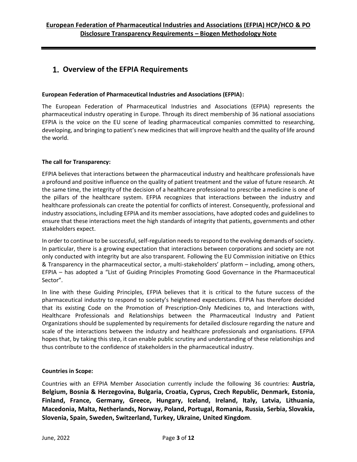## <span id="page-2-0"></span>**Overview of the EFPIA Requirements**

#### **European Federation of Pharmaceutical Industries and Associations (EFPIA):**

The European Federation of Pharmaceutical Industries and Associations (EFPIA) represents the pharmaceutical industry operating in Europe. Through its direct membership of 36 national associations EFPIA is the voice on the EU scene of leading pharmaceutical companies committed to researching, developing, and bringing to patient's new medicines that will improve health and the quality of life around the world.

#### **The call for Transparency:**

EFPIA believes that interactions between the pharmaceutical industry and healthcare professionals have a profound and positive influence on the quality of patient treatment and the value of future research. At the same time, the integrity of the decision of a healthcare professional to prescribe a medicine is one of the pillars of the healthcare system. EFPIA recognizes that interactions between the industry and healthcare professionals can create the potential for conflicts of interest. Consequently, professional and industry associations, including EFPIA and its member associations, have adopted codes and guidelines to ensure that these interactions meet the high standards of integrity that patients, governments and other stakeholders expect.

In order to continue to be successful, self-regulation needs to respond to the evolving demands of society. In particular, there is a growing expectation that interactions between corporations and society are not only conducted with integrity but are also transparent. Following the EU Commission initiative on Ethics & Transparency in the pharmaceutical sector, a multi-stakeholders' platform – including, among others, EFPIA – has adopted a "List of Guiding Principles Promoting Good Governance in the Pharmaceutical Sector".

In line with these Guiding Principles, EFPIA believes that it is critical to the future success of the pharmaceutical industry to respond to society's heightened expectations. EFPIA has therefore decided that its existing Code on the Promotion of Prescription-Only Medicines to, and Interactions with, Healthcare Professionals and Relationships between the Pharmaceutical Industry and Patient Organizations should be supplemented by requirements for detailed disclosure regarding the nature and scale of the interactions between the industry and healthcare professionals and organisations. EFPIA hopes that, by taking this step, it can enable public scrutiny and understanding of these relationships and thus contribute to the confidence of stakeholders in the pharmaceutical industry.

#### **Countries in Scope:**

Countries with an EFPIA Member Association currently include the following 36 countries: **Austria, Belgium, Bosnia & Herzegovina, Bulgaria, Croatia, Cyprus, Czech Republic, Denmark, Estonia, Finland, France, Germany, Greece, Hungary, Iceland, Ireland, Italy, Latvia, Lithuania, Macedonia, Malta, Netherlands, Norway, Poland, Portugal, Romania, Russia, Serbia, Slovakia, Slovenia, Spain, Sweden, Switzerland, Turkey, Ukraine, United Kingdom**.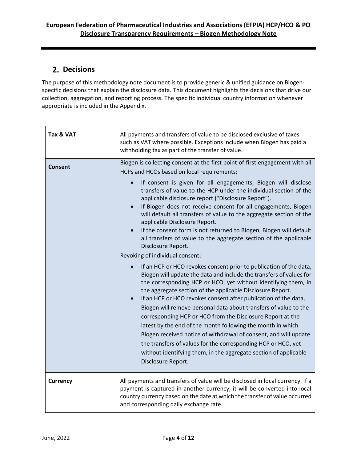## <span id="page-3-0"></span>**Decisions**

The purpose of this methodology note document is to provide generic & unified guidance on Biogenspecific decisions that explain the disclosure data. This document highlights the decisions that drive our collection, aggregation, and reporting process. The specific individual country information whenever appropriate is included in the Appendix.

| Tax & VAT       | All payments and transfers of value to be disclosed exclusive of taxes<br>such as VAT where possible. Exceptions include when Biogen has paid a<br>withholding tax as part of the transfer of value.                                                                                                                                                                                                                                                                                                                                                                                                                                                                                                                                                                                                                                                                                                                                                                                                                                                                                                                                                                                                                                                                                                                                                                                                                                                                                               |
|-----------------|----------------------------------------------------------------------------------------------------------------------------------------------------------------------------------------------------------------------------------------------------------------------------------------------------------------------------------------------------------------------------------------------------------------------------------------------------------------------------------------------------------------------------------------------------------------------------------------------------------------------------------------------------------------------------------------------------------------------------------------------------------------------------------------------------------------------------------------------------------------------------------------------------------------------------------------------------------------------------------------------------------------------------------------------------------------------------------------------------------------------------------------------------------------------------------------------------------------------------------------------------------------------------------------------------------------------------------------------------------------------------------------------------------------------------------------------------------------------------------------------------|
| Consent         | Biogen is collecting consent at the first point of first engagement with all<br>HCPs and HCOs based on local requirements:<br>If consent is given for all engagements, Biogen will disclose<br>$\bullet$<br>transfers of value to the HCP under the individual section of the<br>applicable disclosure report ("Disclosure Report").<br>If Biogen does not receive consent for all engagements, Biogen<br>will default all transfers of value to the aggregate section of the<br>applicable Disclosure Report.<br>If the consent form is not returned to Biogen, Biogen will default<br>all transfers of value to the aggregate section of the applicable<br>Disclosure Report.<br>Revoking of individual consent:<br>If an HCP or HCO revokes consent prior to publication of the data,<br>Biogen will update the data and include the transfers of values for<br>the corresponding HCP or HCO, yet without identifying them, in<br>the aggregate section of the applicable Disclosure Report.<br>If an HCP or HCO revokes consent after publication of the data,<br>Biogen will remove personal data about transfers of value to the<br>corresponding HCP or HCO from the Disclosure Report at the<br>latest by the end of the month following the month in which<br>Biogen received notice of withdrawal of consent, and will update<br>the transfers of values for the corresponding HCP or HCO, yet<br>without identifying them, in the aggregate section of applicable<br>Disclosure Report. |
| <b>Currency</b> | All payments and transfers of value will be disclosed in local currency. If a<br>payment is captured in another currency, it will be converted into local<br>country currency based on the date at which the transfer of value occurred<br>and corresponding daily exchange rate.                                                                                                                                                                                                                                                                                                                                                                                                                                                                                                                                                                                                                                                                                                                                                                                                                                                                                                                                                                                                                                                                                                                                                                                                                  |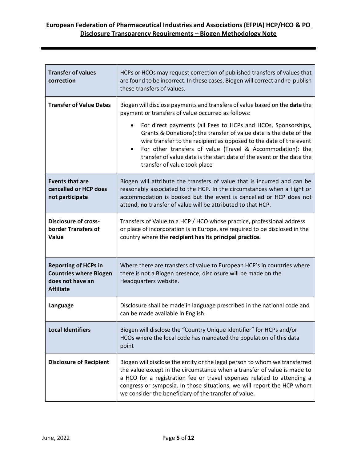## **European Federation of Pharmaceutical Industries and Associations (EFPIA) HCP/HCO & PO Disclosure Transparency Requirements – Biogen Methodology Note**

| <b>Transfer of values</b><br>correction                                                              | HCPs or HCOs may request correction of published transfers of values that<br>are found to be incorrect. In these cases, Biogen will correct and re-publish<br>these transfers of values.                                                                                                                                                                                                      |
|------------------------------------------------------------------------------------------------------|-----------------------------------------------------------------------------------------------------------------------------------------------------------------------------------------------------------------------------------------------------------------------------------------------------------------------------------------------------------------------------------------------|
| <b>Transfer of Value Dates</b>                                                                       | Biogen will disclose payments and transfers of value based on the date the<br>payment or transfers of value occurred as follows:                                                                                                                                                                                                                                                              |
|                                                                                                      | For direct payments (all Fees to HCPs and HCOs, Sponsorships,<br>Grants & Donations): the transfer of value date is the date of the<br>wire transfer to the recipient as opposed to the date of the event<br>For other transfers of value (Travel & Accommodation): the<br>$\bullet$<br>transfer of value date is the start date of the event or the date the<br>transfer of value took place |
| <b>Events that are</b><br>cancelled or HCP does<br>not participate                                   | Biogen will attribute the transfers of value that is incurred and can be<br>reasonably associated to the HCP. In the circumstances when a flight or<br>accommodation is booked but the event is cancelled or HCP does not<br>attend, no transfer of value will be attributed to that HCP.                                                                                                     |
| <b>Disclosure of cross-</b><br>border Transfers of<br>Value                                          | Transfers of Value to a HCP / HCO whose practice, professional address<br>or place of incorporation is in Europe, are required to be disclosed in the<br>country where the recipient has its principal practice.                                                                                                                                                                              |
| <b>Reporting of HCPs in</b><br><b>Countries where Biogen</b><br>does not have an<br><b>Affiliate</b> | Where there are transfers of value to European HCP's in countries where<br>there is not a Biogen presence; disclosure will be made on the<br>Headquarters website.                                                                                                                                                                                                                            |
| Language                                                                                             | Disclosure shall be made in language prescribed in the national code and<br>can be made available in English.                                                                                                                                                                                                                                                                                 |
| <b>Local Identifiers</b>                                                                             | Biogen will disclose the "Country Unique Identifier" for HCPs and/or<br>HCOs where the local code has mandated the population of this data<br>point                                                                                                                                                                                                                                           |
| <b>Disclosure of Recipient</b>                                                                       | Biogen will disclose the entity or the legal person to whom we transferred<br>the value except in the circumstance when a transfer of value is made to<br>a HCO for a registration fee or travel expenses related to attending a<br>congress or symposia. In those situations, we will report the HCP whom<br>we consider the beneficiary of the transfer of value.                           |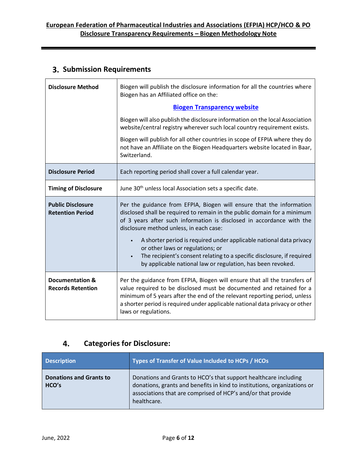## <span id="page-5-0"></span>**Submission Requirements**

| <b>Disclosure Method</b>                            | Biogen will publish the disclosure information for all the countries where<br>Biogen has an Affiliated office on the:                                                                                                                                                                                                                                                                                                                                                                                                                 |
|-----------------------------------------------------|---------------------------------------------------------------------------------------------------------------------------------------------------------------------------------------------------------------------------------------------------------------------------------------------------------------------------------------------------------------------------------------------------------------------------------------------------------------------------------------------------------------------------------------|
|                                                     | <b>Biogen Transparency website</b>                                                                                                                                                                                                                                                                                                                                                                                                                                                                                                    |
|                                                     | Biogen will also publish the disclosure information on the local Association<br>website/central registry wherever such local country requirement exists.                                                                                                                                                                                                                                                                                                                                                                              |
|                                                     | Biogen will publish for all other countries in scope of EFPIA where they do<br>not have an Affiliate on the Biogen Headquarters website located in Baar,<br>Switzerland.                                                                                                                                                                                                                                                                                                                                                              |
| <b>Disclosure Period</b>                            | Each reporting period shall cover a full calendar year.                                                                                                                                                                                                                                                                                                                                                                                                                                                                               |
| <b>Timing of Disclosure</b>                         | June 30 <sup>th</sup> unless local Association sets a specific date.                                                                                                                                                                                                                                                                                                                                                                                                                                                                  |
| <b>Public Disclosure</b><br><b>Retention Period</b> | Per the guidance from EFPIA, Biogen will ensure that the information<br>disclosed shall be required to remain in the public domain for a minimum<br>of 3 years after such information is disclosed in accordance with the<br>disclosure method unless, in each case:<br>A shorter period is required under applicable national data privacy<br>$\bullet$<br>or other laws or regulations; or<br>The recipient's consent relating to a specific disclosure, if required<br>by applicable national law or regulation, has been revoked. |
| Documentation &<br><b>Records Retention</b>         | Per the guidance from EFPIA, Biogen will ensure that all the transfers of<br>value required to be disclosed must be documented and retained for a<br>minimum of 5 years after the end of the relevant reporting period, unless<br>a shorter period is required under applicable national data privacy or other<br>laws or regulations.                                                                                                                                                                                                |

#### 4. **Categories for Disclosure:**

<span id="page-5-1"></span>

| <b>Description</b>                      | Types of Transfer of Value Included to HCPs / HCOs                                                                                                                                                                         |
|-----------------------------------------|----------------------------------------------------------------------------------------------------------------------------------------------------------------------------------------------------------------------------|
| <b>Donations and Grants to</b><br>HCO's | Donations and Grants to HCO's that support healthcare including<br>donations, grants and benefits in kind to institutions, organizations or<br>associations that are comprised of HCP's and/or that provide<br>healthcare. |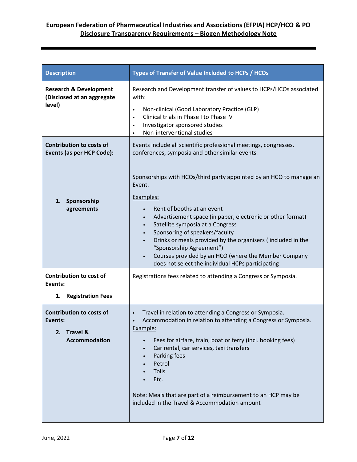| <b>Description</b>                                                                              | Types of Transfer of Value Included to HCPs / HCOs                                                                                                                                                                                                                                                                                                                                                                                                                                                                                                                                                                                 |
|-------------------------------------------------------------------------------------------------|------------------------------------------------------------------------------------------------------------------------------------------------------------------------------------------------------------------------------------------------------------------------------------------------------------------------------------------------------------------------------------------------------------------------------------------------------------------------------------------------------------------------------------------------------------------------------------------------------------------------------------|
| <b>Research &amp; Development</b><br>(Disclosed at an aggregate<br>level)                       | Research and Development transfer of values to HCPs/HCOs associated<br>with:<br>Non-clinical (Good Laboratory Practice (GLP)<br>$\bullet$<br>Clinical trials in Phase I to Phase IV<br>$\bullet$<br>Investigator sponsored studies<br>$\bullet$<br>Non-interventional studies<br>$\bullet$                                                                                                                                                                                                                                                                                                                                         |
| <b>Contribution to costs of</b><br>Events (as per HCP Code):<br>Sponsorship<br>1.<br>agreements | Events include all scientific professional meetings, congresses,<br>conferences, symposia and other similar events.<br>Sponsorships with HCOs/third party appointed by an HCO to manage an<br>Event.<br>Examples:<br>Rent of booths at an event<br>Advertisement space (in paper, electronic or other format)<br>$\bullet$<br>Satellite symposia at a Congress<br>$\bullet$<br>Sponsoring of speakers/faculty<br>$\bullet$<br>Drinks or meals provided by the organisers (included in the<br>"Sponsorship Agreement")<br>Courses provided by an HCO (where the Member Company<br>does not select the individual HCPs participating |
| Contribution to cost of<br>Events:<br><b>Registration Fees</b><br>1.                            | Registrations fees related to attending a Congress or Symposia.                                                                                                                                                                                                                                                                                                                                                                                                                                                                                                                                                                    |
| <b>Contribution to costs of</b><br>Events:<br>2. Travel &<br><b>Accommodation</b>               | Travel in relation to attending a Congress or Symposia.<br>$\bullet$<br>Accommodation in relation to attending a Congress or Symposia.<br>$\bullet$<br>Example:<br>Fees for airfare, train, boat or ferry (incl. booking fees)<br>$\bullet$<br>Car rental, car services, taxi transfers<br>$\bullet$<br>Parking fees<br>$\bullet$<br>Petrol<br><b>Tolls</b><br>Etc.<br>Note: Meals that are part of a reimbursement to an HCP may be<br>included in the Travel & Accommodation amount                                                                                                                                              |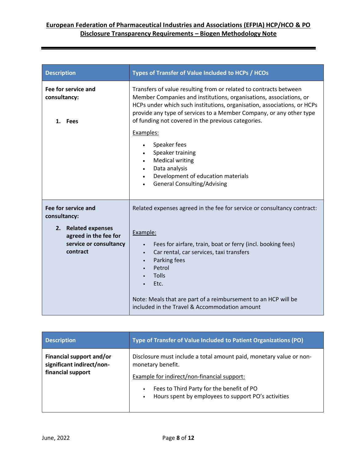| <b>Description</b>                                                                                                        | Types of Transfer of Value Included to HCPs / HCOs                                                                                                                                                                                                                                                                                                                                                  |
|---------------------------------------------------------------------------------------------------------------------------|-----------------------------------------------------------------------------------------------------------------------------------------------------------------------------------------------------------------------------------------------------------------------------------------------------------------------------------------------------------------------------------------------------|
| Fee for service and<br>consultancy:<br>1. Fees                                                                            | Transfers of value resulting from or related to contracts between<br>Member Companies and institutions, organisations, associations, or<br>HCPs under which such institutions, organisation, associations, or HCPs<br>provide any type of services to a Member Company, or any other type<br>of funding not covered in the previous categories.                                                     |
|                                                                                                                           | Examples:<br>Speaker fees<br>$\bullet$<br>Speaker training<br><b>Medical writing</b><br>Data analysis<br>$\bullet$<br>Development of education materials<br>$\bullet$<br><b>General Consulting/Advising</b>                                                                                                                                                                                         |
| Fee for service and<br>consultancy:<br>2. Related expenses<br>agreed in the fee for<br>service or consultancy<br>contract | Related expenses agreed in the fee for service or consultancy contract:<br>Example:<br>Fees for airfare, train, boat or ferry (incl. booking fees)<br>$\bullet$<br>Car rental, car services, taxi transfers<br>$\bullet$<br>Parking fees<br>$\bullet$<br>Petrol<br>Tolls<br>Etc.<br>Note: Meals that are part of a reimbursement to an HCP will be<br>included in the Travel & Accommodation amount |

| <b>Description</b>                                    | Type of Transfer of Value Included to Patient Organizations (PO)                                              |
|-------------------------------------------------------|---------------------------------------------------------------------------------------------------------------|
| Financial support and/or<br>significant indirect/non- | Disclosure must include a total amount paid, monetary value or non-<br>monetary benefit.                      |
| financial support                                     | Example for indirect/non-financial support:                                                                   |
|                                                       | Fees to Third Party for the benefit of PO<br>$\bullet$<br>Hours spent by employees to support PO's activities |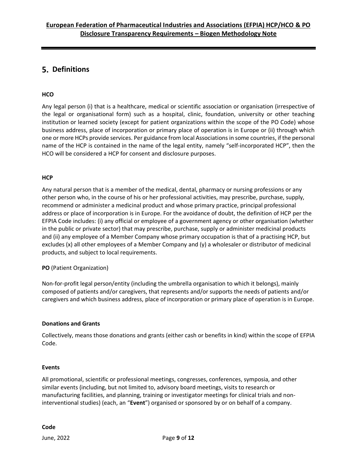## <span id="page-8-0"></span>**Definitions**

### **HCO**

Any legal person (i) that is a healthcare, medical or scientific association or organisation (irrespective of the legal or organisational form) such as a hospital, clinic, foundation, university or other teaching institution or learned society (except for patient organizations within the scope of the PO Code) whose business address, place of incorporation or primary place of operation is in Europe or (ii) through which one or more HCPs provide services. Per guidance from local Associations in some countries, if the personal name of the HCP is contained in the name of the legal entity, namely "self-incorporated HCP", then the HCO will be considered a HCP for consent and disclosure purposes.

#### **HCP**

Any natural person that is a member of the medical, dental, pharmacy or nursing professions or any other person who, in the course of his or her professional activities, may prescribe, purchase, supply, recommend or administer a medicinal product and whose primary practice, principal professional address or place of incorporation is in Europe. For the avoidance of doubt, the definition of HCP per the EFPIA Code includes: (i) any official or employee of a government agency or other organisation (whether in the public or private sector) that may prescribe, purchase, supply or administer medicinal products and (ii) any employee of a Member Company whose primary occupation is that of a practising HCP, but excludes (x) all other employees of a Member Company and (y) a wholesaler or distributor of medicinal products, and subject to local requirements.

#### **PO** (Patient Organization)

Non-for-profit legal person/entity (including the umbrella organisation to which it belongs), mainly composed of patients and/or caregivers, that represents and/or supports the needs of patients and/or caregivers and which business address, place of incorporation or primary place of operation is in Europe.

#### **Donations and Grants**

Collectively, means those donations and grants (either cash or benefits in kind) within the scope of EFPIA Code.

#### **Events**

All promotional, scientific or professional meetings, congresses, conferences, symposia, and other similar events (including, but not limited to, advisory board meetings, visits to research or manufacturing facilities, and planning, training or investigator meetings for clinical trials and noninterventional studies) (each, an "**Event**") organised or sponsored by or on behalf of a company.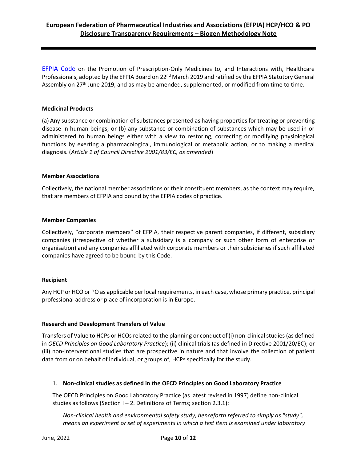[EFPIA Code](https://www.efpia.eu/relationships-code/) on the Promotion of Prescription-Only Medicines to, and Interactions with, Healthcare Professionals, adopted by the EFPIA Board on 22<sup>nd</sup> March 2019 and ratified by the EFPIA Statutory General Assembly on 27<sup>th</sup> June 2019, and as may be amended, supplemented, or modified from time to time.

#### **Medicinal Products**

(a) Any substance or combination of substances presented as having properties for treating or preventing disease in human beings; or (b) any substance or combination of substances which may be used in or administered to human beings either with a view to restoring, correcting or modifying physiological functions by exerting a pharmacological, immunological or metabolic action, or to making a medical diagnosis. (*Article 1 of Council Directive 2001/83/EC, as amended*)

#### **Member Associations**

Collectively, the national member associations or their constituent members, as the context may require, that are members of EFPIA and bound by the EFPIA codes of practice.

#### **Member Companies**

Collectively, "corporate members" of EFPIA, their respective parent companies, if different, subsidiary companies (irrespective of whether a subsidiary is a company or such other form of enterprise or organisation) and any companies affiliated with corporate members or their subsidiaries if such affiliated companies have agreed to be bound by this Code.

#### **Recipient**

Any HCP or HCO or PO as applicable per local requirements, in each case, whose primary practice, principal professional address or place of incorporation is in Europe.

#### **Research and Development Transfers of Value**

Transfers of Value to HCPs or HCOs related to the planning or conduct of (i) non-clinical studies (as defined in *OECD Principles on Good Laboratory Practice*); (ii) clinical trials (as defined in Directive 2001/20/EC); or (iii) non-interventional studies that are prospective in nature and that involve the collection of patient data from or on behalf of individual, or groups of, HCPs specifically for the study.

#### 1. **Non-clinical studies as defined in the OECD Principles on Good Laboratory Practice**

The OECD Principles on Good Laboratory Practice (as latest revised in 1997) define non-clinical studies as follows (Section  $I - 2$ . Definitions of Terms; section 2.3.1):

*Non-clinical health and environmental safety study, henceforth referred to simply as "study", means an experiment or set of experiments in which a test item is examined under laboratory*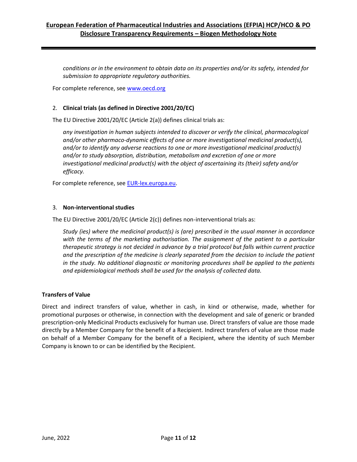*conditions or in the environment to obtain data on its properties and/or its safety, intended for submission to appropriate regulatory authorities.* 

For complete reference, see [www.oecd.org](http://www.oecd.org/)

#### 2. **Clinical trials (as defined in Directive 2001/20/EC)**

The EU Directive 2001/20/EC (Article 2(a)) defines clinical trials as:

*any investigation in human subjects intended to discover or verify the clinical, pharmacological and/or other pharmaco-dynamic effects of one or more investigational medicinal product(s), and/or to identify any adverse reactions to one or more investigational medicinal product(s) and/or to study absorption, distribution, metabolism and excretion of one or more investigational medicinal product(s) with the object of ascertaining its (their) safety and/or efficacy.* 

For complete reference, see [EUR-lex.europa.eu.](http://eur-lex.europa.eu/)

#### 3. **Non-interventional studies**

The EU Directive 2001/20/EC (Article 2(c)) defines non-interventional trials as:

*Study (ies) where the medicinal product(s) is (are) prescribed in the usual manner in accordance*  with the terms of the marketing authorisation. The assignment of the patient to a particular *therapeutic strategy is not decided in advance by a trial protocol but falls within current practice*  and the prescription of the medicine is clearly separated from the decision to include the patient *in the study. No additional diagnostic or monitoring procedures shall be applied to the patients and epidemiological methods shall be used for the analysis of collected data.*

#### **Transfers of Value**

Direct and indirect transfers of value, whether in cash, in kind or otherwise, made, whether for promotional purposes or otherwise, in connection with the development and sale of generic or branded prescription-only Medicinal Products exclusively for human use. Direct transfers of value are those made directly by a Member Company for the benefit of a Recipient. Indirect transfers of value are those made on behalf of a Member Company for the benefit of a Recipient, where the identity of such Member Company is known to or can be identified by the Recipient.